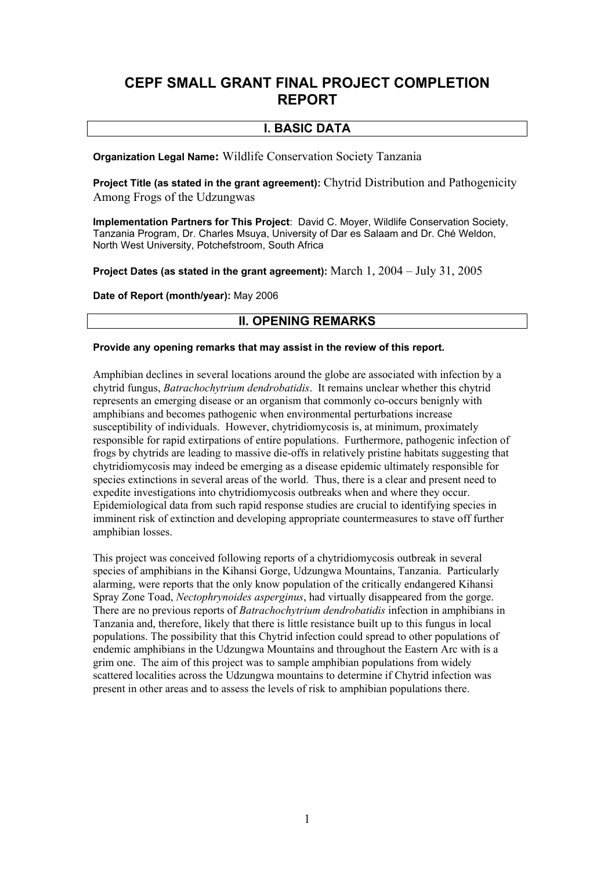# **CEPF SMALL GRANT FINAL PROJECT COMPLETION REPORT**

# **I. BASIC DATA**

**Organization Legal Name**: Wildlife Conservation Society Tanzania

**Project Title (as stated in the grant agreement):** Chytrid Distribution and Pathogenicity Among Frogs of the Udzungwas

**Implementation Partners for This Project**: David C. Moyer, Wildlife Conservation Society, Tanzania Program, Dr. Charles Msuya, University of Dar es Salaam and Dr. Ché Weldon, North West University, Potchefstroom, South Africa

**Project Dates (as stated in the grant agreement):** March 1, 2004 – July 31, 2005

**Date of Report (month/year):** May 2006

# **II. OPENING REMARKS**

#### **Provide any opening remarks that may assist in the review of this report.**

Amphibian declines in several locations around the globe are associated with infection by a chytrid fungus, *Batrachochytrium dendrobatidis*. It remains unclear whether this chytrid represents an emerging disease or an organism that commonly co-occurs benignly with amphibians and becomes pathogenic when environmental perturbations increase susceptibility of individuals. However, chytridiomycosis is, at minimum, proximately responsible for rapid extirpations of entire populations. Furthermore, pathogenic infection of frogs by chytrids are leading to massive die-offs in relatively pristine habitats suggesting that chytridiomycosis may indeed be emerging as a disease epidemic ultimately responsible for species extinctions in several areas of the world. Thus, there is a clear and present need to expedite investigations into chytridiomycosis outbreaks when and where they occur. Epidemiological data from such rapid response studies are crucial to identifying species in imminent risk of extinction and developing appropriate countermeasures to stave off further amphibian losses.

This project was conceived following reports of a chytridiomycosis outbreak in several species of amphibians in the Kihansi Gorge, Udzungwa Mountains, Tanzania. Particularly alarming, were reports that the only know population of the critically endangered Kihansi Spray Zone Toad, *Nectophrynoides asperginus*, had virtually disappeared from the gorge. There are no previous reports of *Batrachochytrium dendrobatidis* infection in amphibians in Tanzania and, therefore, likely that there is little resistance built up to this fungus in local populations. The possibility that this Chytrid infection could spread to other populations of endemic amphibians in the Udzungwa Mountains and throughout the Eastern Arc with is a grim one. The aim of this project was to sample amphibian populations from widely scattered localities across the Udzungwa mountains to determine if Chytrid infection was present in other areas and to assess the levels of risk to amphibian populations there.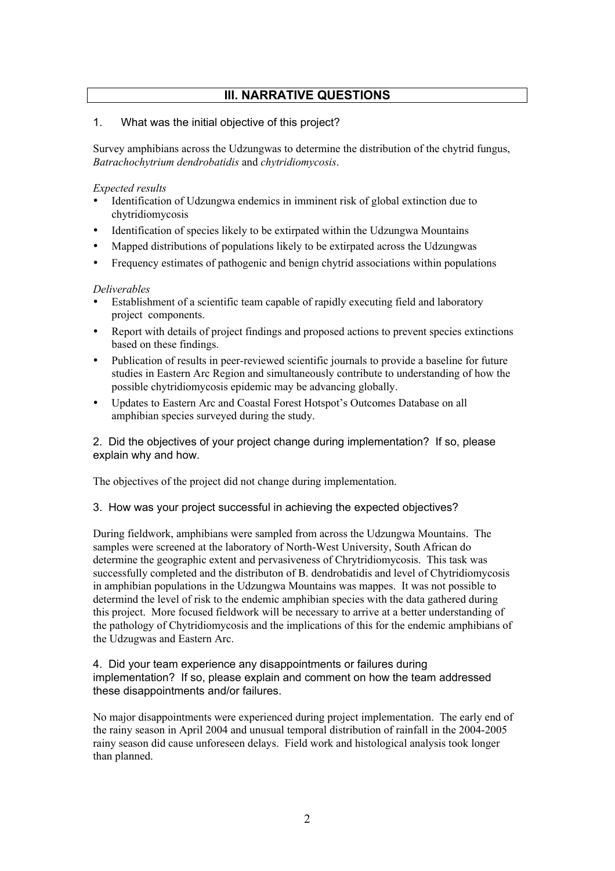# **III. NARRATIVE QUESTIONS**

### 1. What was the initial objective of this project?

Survey amphibians across the Udzungwas to determine the distribution of the chytrid fungus, *Batrachochytrium dendrobatidis* and *chytridiomycosis*.

#### *Expected results*

- Identification of Udzungwa endemics in imminent risk of global extinction due to chytridiomycosis
- Identification of species likely to be extirpated within the Udzungwa Mountains
- Mapped distributions of populations likely to be extirpated across the Udzungwas
- Frequency estimates of pathogenic and benign chytrid associations within populations

### *Deliverables*

- Establishment of a scientific team capable of rapidly executing field and laboratory project components.
- Report with details of project findings and proposed actions to prevent species extinctions based on these findings.
- Publication of results in peer-reviewed scientific journals to provide a baseline for future studies in Eastern Arc Region and simultaneously contribute to understanding of how the possible chytridiomycosis epidemic may be advancing globally.
- Updates to Eastern Arc and Coastal Forest Hotspot's Outcomes Database on all amphibian species surveyed during the study.

### 2. Did the objectives of your project change during implementation? If so, please explain why and how.

The objectives of the project did not change during implementation.

### 3. How was your project successful in achieving the expected objectives?

During fieldwork, amphibians were sampled from across the Udzungwa Mountains. The samples were screened at the laboratory of North-West University, South African do determine the geographic extent and pervasiveness of Chrytridiomycosis. This task was successfully completed and the distributon of B. dendrobatidis and level of Chytridiomycosis in amphibian populations in the Udzungwa Mountains was mappes. It was not possible to determind the level of risk to the endemic amphibian species with the data gathered during this project. More focused fieldwork will be necessary to arrive at a better understanding of the pathology of Chytridiomycosis and the implications of this for the endemic amphibians of the Udzugwas and Eastern Arc.

#### 4. Did your team experience any disappointments or failures during implementation? If so, please explain and comment on how the team addressed these disappointments and/or failures.

No major disappointments were experienced during project implementation. The early end of the rainy season in April 2004 and unusual temporal distribution of rainfall in the 2004-2005 rainy season did cause unforeseen delays. Field work and histological analysis took longer than planned.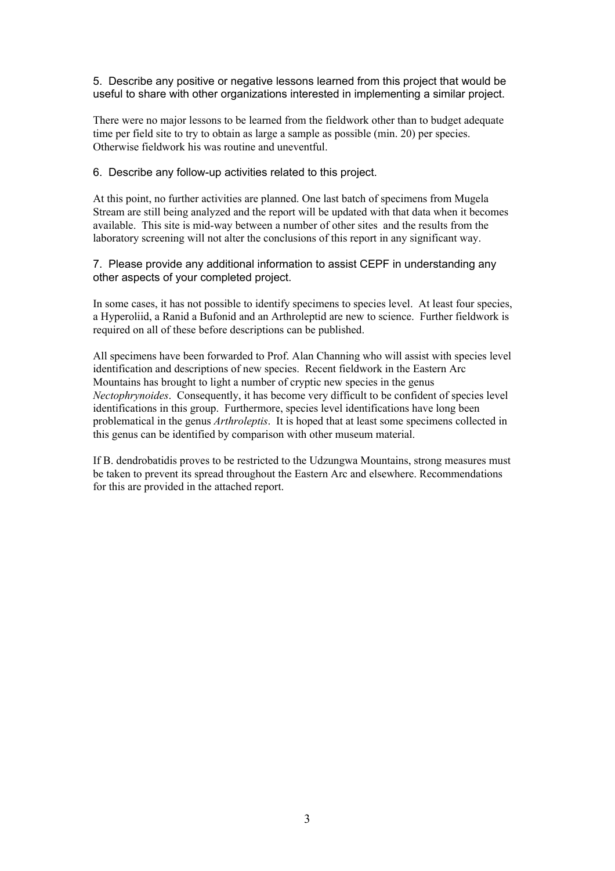#### 5. Describe any positive or negative lessons learned from this project that would be useful to share with other organizations interested in implementing a similar project.

There were no major lessons to be learned from the fieldwork other than to budget adequate time per field site to try to obtain as large a sample as possible (min. 20) per species. Otherwise fieldwork his was routine and uneventful.

#### 6. Describe any follow-up activities related to this project.

At this point, no further activities are planned. One last batch of specimens from Mugela Stream are still being analyzed and the report will be updated with that data when it becomes available. This site is mid-way between a number of other sites and the results from the laboratory screening will not alter the conclusions of this report in any significant way.

#### 7. Please provide any additional information to assist CEPF in understanding any other aspects of your completed project.

In some cases, it has not possible to identify specimens to species level. At least four species, a Hyperoliid, a Ranid a Bufonid and an Arthroleptid are new to science. Further fieldwork is required on all of these before descriptions can be published.

All specimens have been forwarded to Prof. Alan Channing who will assist with species level identification and descriptions of new species. Recent fieldwork in the Eastern Arc Mountains has brought to light a number of cryptic new species in the genus *Nectophrynoides*. Consequently, it has become very difficult to be confident of species level identifications in this group. Furthermore, species level identifications have long been problematical in the genus *Arthroleptis*. It is hoped that at least some specimens collected in this genus can be identified by comparison with other museum material.

If B. dendrobatidis proves to be restricted to the Udzungwa Mountains, strong measures must be taken to prevent its spread throughout the Eastern Arc and elsewhere. Recommendations for this are provided in the attached report.